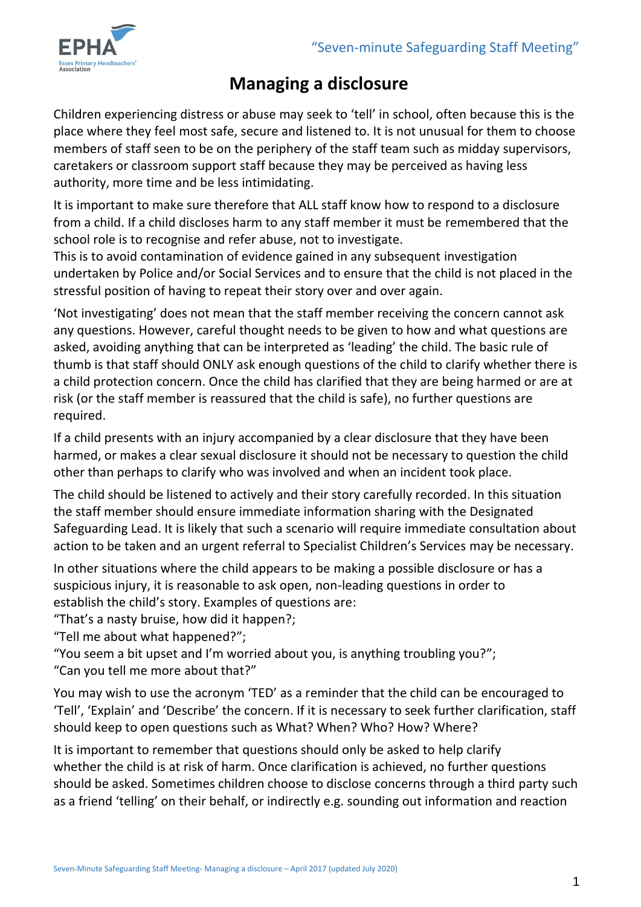

# **Managing a disclosure**

Children experiencing distress or abuse may seek to 'tell' in school, often because this is the place where they feel most safe, secure and listened to. It is not unusual for them to choose members of staff seen to be on the periphery of the staff team such as midday supervisors, caretakers or classroom support staff because they may be perceived as having less authority, more time and be less intimidating.

It is important to make sure therefore that ALL staff know how to respond to a disclosure from a child. If a child discloses harm to any staff member it must be remembered that the school role is to recognise and refer abuse, not to investigate.

This is to avoid contamination of evidence gained in any subsequent investigation undertaken by Police and/or Social Services and to ensure that the child is not placed in the stressful position of having to repeat their story over and over again.

'Not investigating' does not mean that the staff member receiving the concern cannot ask any questions. However, careful thought needs to be given to how and what questions are asked, avoiding anything that can be interpreted as 'leading' the child. The basic rule of thumb is that staff should ONLY ask enough questions of the child to clarify whether there is a child protection concern. Once the child has clarified that they are being harmed or are at risk (or the staff member is reassured that the child is safe), no further questions are required.

If a child presents with an injury accompanied by a clear disclosure that they have been harmed, or makes a clear sexual disclosure it should not be necessary to question the child other than perhaps to clarify who was involved and when an incident took place.

The child should be listened to actively and their story carefully recorded. In this situation the staff member should ensure immediate information sharing with the Designated Safeguarding Lead. It is likely that such a scenario will require immediate consultation about action to be taken and an urgent referral to Specialist Children's Services may be necessary.

In other situations where the child appears to be making a possible disclosure or has a suspicious injury, it is reasonable to ask open, non-leading questions in order to establish the child's story. Examples of questions are:

"That's a nasty bruise, how did it happen?;

"Tell me about what happened?";

"You seem a bit upset and I'm worried about you, is anything troubling you?";

"Can you tell me more about that?"

You may wish to use the acronym 'TED' as a reminder that the child can be encouraged to 'Tell', 'Explain' and 'Describe' the concern. If it is necessary to seek further clarification, staff should keep to open questions such as What? When? Who? How? Where?

It is important to remember that questions should only be asked to help clarify whether the child is at risk of harm. Once clarification is achieved, no further questions should be asked. Sometimes children choose to disclose concerns through a third party such as a friend 'telling' on their behalf, or indirectly e.g. sounding out information and reaction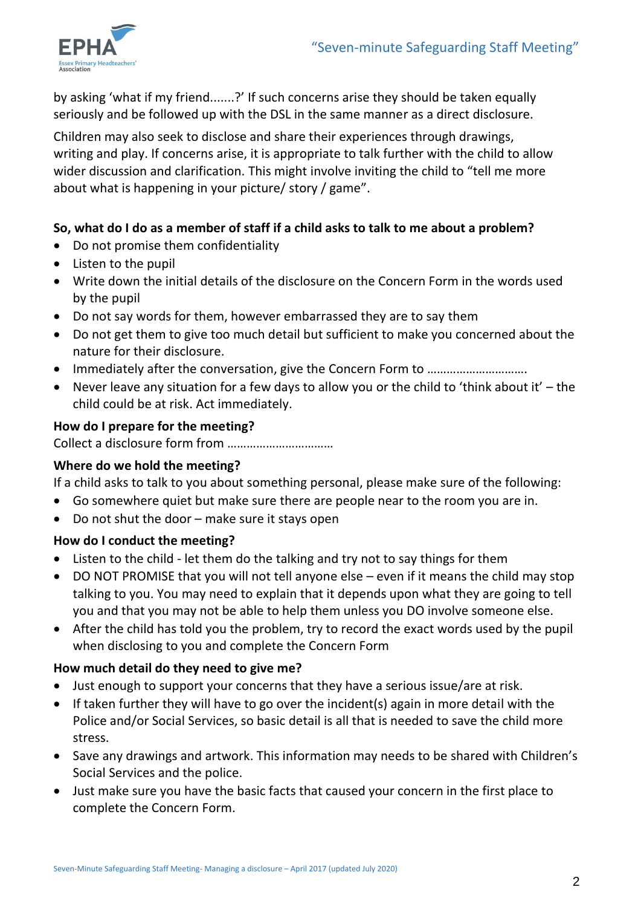

by asking 'what if my friend.......?' If such concerns arise they should be taken equally seriously and be followed up with the DSL in the same manner as a direct disclosure.

Children may also seek to disclose and share their experiences through drawings, writing and play. If concerns arise, it is appropriate to talk further with the child to allow wider discussion and clarification. This might involve inviting the child to "tell me more about what is happening in your picture/ story / game".

## **So, what do I do as a member of staff if a child asks to talk to me about a problem?**

- Do not promise them confidentiality
- Listen to the pupil
- Write down the initial details of the disclosure on the Concern Form in the words used by the pupil
- Do not say words for them, however embarrassed they are to say them
- Do not get them to give too much detail but sufficient to make you concerned about the nature for their disclosure.
- Immediately after the conversation, give the Concern Form to ………………………….
- Never leave any situation for a few days to allow you or the child to 'think about it' the child could be at risk. Act immediately.

## **How do I prepare for the meeting?**

Collect a disclosure form from ……………………………

### **Where do we hold the meeting?**

If a child asks to talk to you about something personal, please make sure of the following:

- Go somewhere quiet but make sure there are people near to the room you are in.
- Do not shut the door make sure it stays open

### **How do I conduct the meeting?**

- Listen to the child let them do the talking and try not to say things for them
- DO NOT PROMISE that you will not tell anyone else even if it means the child may stop talking to you. You may need to explain that it depends upon what they are going to tell you and that you may not be able to help them unless you DO involve someone else.
- After the child has told you the problem, try to record the exact words used by the pupil when disclosing to you and complete the Concern Form

# **How much detail do they need to give me?**

- Just enough to support your concerns that they have a serious issue/are at risk.
- If taken further they will have to go over the incident(s) again in more detail with the Police and/or Social Services, so basic detail is all that is needed to save the child more stress.
- Save any drawings and artwork. This information may needs to be shared with Children's Social Services and the police.
- Just make sure you have the basic facts that caused your concern in the first place to complete the Concern Form.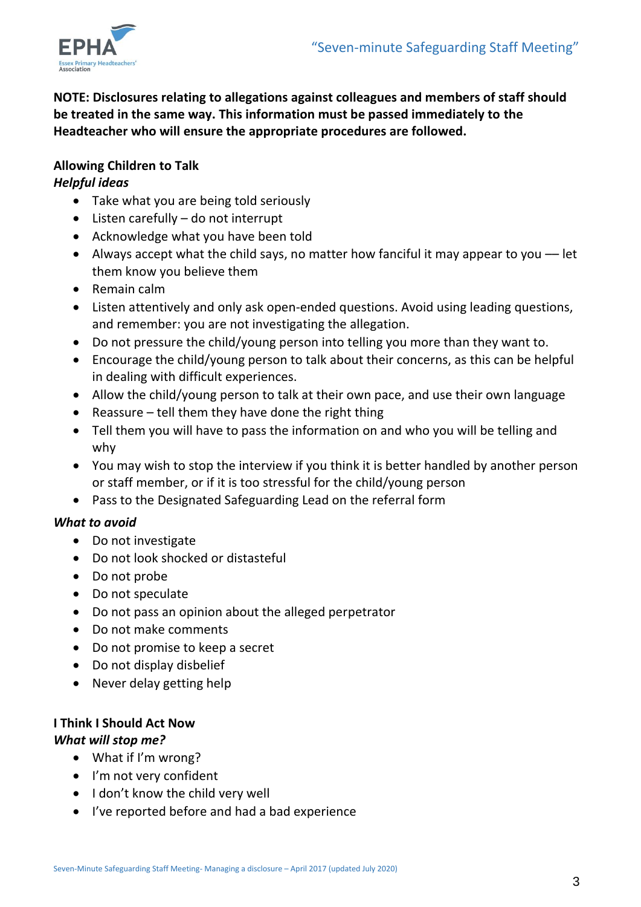

**NOTE: Disclosures relating to allegations against colleagues and members of staff should be treated in the same way. This information must be passed immediately to the Headteacher who will ensure the appropriate procedures are followed.**

## **Allowing Children to Talk**

## *Helpful ideas*

- Take what you are being told seriously
- Listen carefully do not interrupt
- Acknowledge what you have been told
- Always accept what the child says, no matter how fanciful it may appear to you –– let them know you believe them
- Remain calm
- Listen attentively and only ask open-ended questions. Avoid using leading questions, and remember: you are not investigating the allegation.
- Do not pressure the child/young person into telling you more than they want to.
- Encourage the child/young person to talk about their concerns, as this can be helpful in dealing with difficult experiences.
- Allow the child/young person to talk at their own pace, and use their own language
- Reassure tell them they have done the right thing
- Tell them you will have to pass the information on and who you will be telling and why
- You may wish to stop the interview if you think it is better handled by another person or staff member, or if it is too stressful for the child/young person
- Pass to the Designated Safeguarding Lead on the referral form

### *What to avoid*

- Do not investigate
- Do not look shocked or distasteful
- Do not probe
- Do not speculate
- Do not pass an opinion about the alleged perpetrator
- Do not make comments
- Do not promise to keep a secret
- Do not display disbelief
- Never delay getting help

# **I Think I Should Act Now**

### *What will stop me?*

- What if I'm wrong?
- I'm not very confident
- I don't know the child very well
- I've reported before and had a bad experience